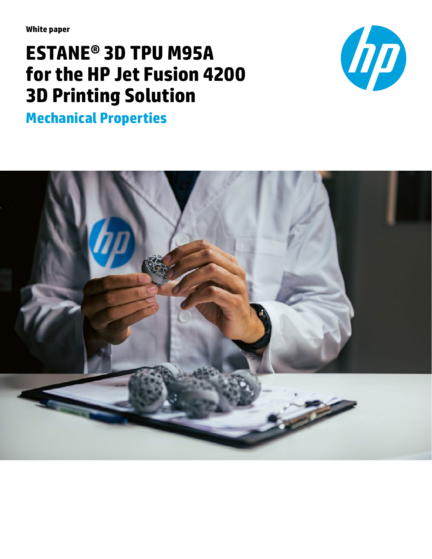**White paper**

# **ESTANE® 3D TPU M95A for the HP Jet Fusion 4200 3D Printing Solution**



**Mechanical Properties**

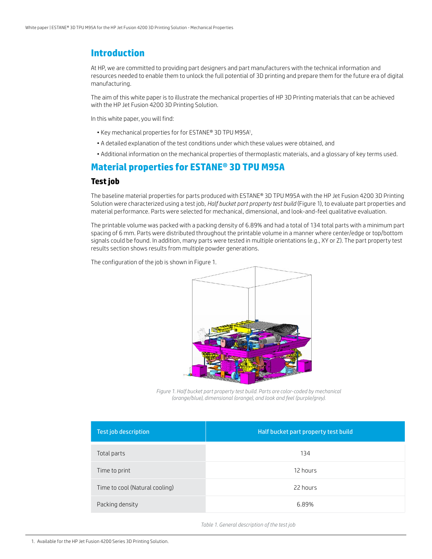# **Introduction**

At HP, we are committed to providing part designers and part manufacturers with the technical information and resources needed to enable them to unlock the full potential of 3D printing and prepare them for the future era of digital manufacturing.

The aim of this white paper is to illustrate the mechanical properties of HP 3D Printing materials that can be achieved with the HP Jet Fusion 4200 3D Printing Solution.

In this white paper, you will find:

- Key mechanical properties for for ESTANE® 3D TPU M95A1 ,
- A detailed explanation of the test conditions under which these values were obtained, and
- Additional information on the mechanical properties of thermoplastic materials, and a glossary of key terms used.

### **Material properties for ESTANE® 3D TPU M95A**

#### **Test job**

The baseline material properties for parts produced with ESTANE® 3D TPU M95A with the HP Jet Fusion 4200 3D Printing Solution were characterized using a test job, *Half bucket part property test build* (Figure 1), to evaluate part properties and material performance. Parts were selected for mechanical, dimensional, and look-and-feel qualitative evaluation.

The printable volume was packed with a packing density of 6.89% and had a total of 134 total parts with a minimum part spacing of 6 mm. Parts were distributed throughout the printable volume in a manner where center/edge or top/bottom signals could be found. In addition, many parts were tested in multiple orientations (e.g., XY or Z). The part property test results section shows results from multiple powder generations.

The configuration of the job is shown in Figure 1.



*Figure 1. Half bucket part property test build. Parts are color-coded by mechanical (orange/blue), dimensional (orange), and look and feel (purple/grey).*

| Test job description           | Half bucket part property test build |  |  |
|--------------------------------|--------------------------------------|--|--|
| Total parts                    | 134                                  |  |  |
| Time to print                  | 12 hours                             |  |  |
| Time to cool (Natural cooling) | 22 hours                             |  |  |
| Packing density                | 6.89%                                |  |  |

*Table 1. General description of the test job*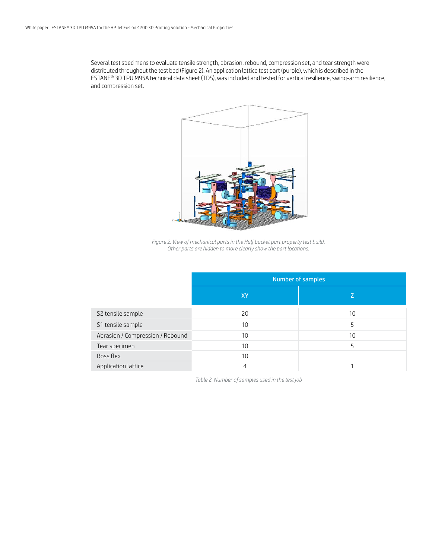Several test specimens to evaluate tensile strength, abrasion, rebound, compression set, and tear strength were distributed throughout the test bed (Figure 2). An application lattice test part (purple), which is described in the ESTANE® 3D TPU M95A technical data sheet (TDS), was included and tested for vertical resilience, swing-arm resilience, and compression set.



*Figure 2. View of mechanical parts in the Half bucket part property test build. Other parts are hidden to more clearly show the part locations.*

| <b>Number of samples</b> |    |  |  |  |  |
|--------------------------|----|--|--|--|--|
| <b>XY</b>                | Z  |  |  |  |  |
| 20                       | 10 |  |  |  |  |
| 10 <sup>°</sup>          | 5  |  |  |  |  |
| 10                       | 10 |  |  |  |  |
| 10 <sup>°</sup>          | 5  |  |  |  |  |
| 10                       |    |  |  |  |  |
| $\overline{4}$           |    |  |  |  |  |
|                          |    |  |  |  |  |

*Table 2. Number of samples used in the test job*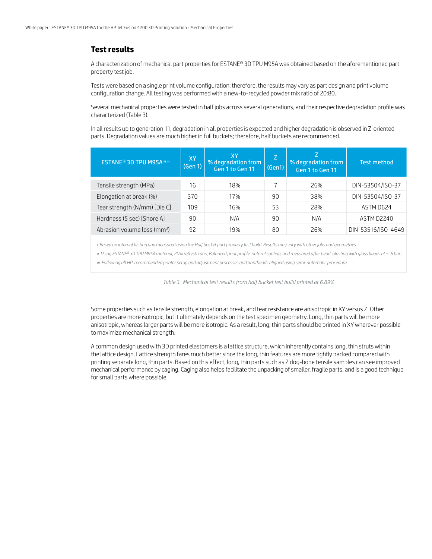#### **Test results**

A characterization of mechanical part properties for ESTANE® 3D TPU M95A was obtained based on the aforementioned part property test job.

Tests were based on a single print volume configuration; therefore, the results may vary as part design and print volume configuration change. All testing was performed with a new-to-recycled powder mix ratio of 20:80.

Several mechanical properties were tested in half jobs across several generations, and their respective degradation profile was characterized (Table 3).

In all results up to generation 11, degradation in all properties is expected and higher degradation is observed in Z-oriented parts. Degradation values are much higher in full buckets; therefore, half buckets are recommended.

| <b>ESTANE<sup>®</sup> 3D TPU M95Ailillii</b> | <b>XY</b><br>(Gen 1) | XY<br>% degradation from<br>Gen 1 to Gen 11 | IZ.<br>(Gen1) | % degradation from<br>Gen 1 to Gen 11 | <b>Test method</b> |
|----------------------------------------------|----------------------|---------------------------------------------|---------------|---------------------------------------|--------------------|
| Tensile strength (MPa)                       | 16                   | 18%                                         |               | 26%                                   | DIN-53504/ISO-37   |
| Elongation at break (%)                      | 370                  | 17%                                         | 90            | 38%                                   | DIN-53504/ISO-37   |
| Tear strength (N/mm) [Die C]                 | 109                  | 16%                                         | 53            | 28%                                   | ASTM D624          |
| Hardness (5 sec) [Shore A]                   | 90                   | N/A                                         | 90            | N/A                                   | ASTM D2240         |
| Abrasion volume loss (mm <sup>3</sup> )      | 92                   | 19%                                         | 80            | 26%                                   | DIN-53516/ISO-4649 |

*i. Based on internal testing and measured using the Half bucket part property test build. Results may vary with other jobs and geometries.*

*ii. Using ESTANE® 3D TPU M95A material, 20% refresh ratio, Balanced print profile, natural cooling, and measured after bead-blasting with glass beads at 5-6 bars.*

*iii. Following all HP-recommended printer setup and adjustment processes and printheads aligned using semi-automatic procedure.*

*Table 3. Mechanical test results from half bucket test build printed at 6.89%*

Some properties such as tensile strength, elongation at break, and tear resistance are anisotropic in XY versus Z. Other properties are more isotropic, but it ultimately depends on the test specimen geometry. Long, thin parts will be more anisotropic, whereas larger parts will be more isotropic. As a result, long, thin parts should be printed in XY wherever possible to maximize mechanical strength.

A common design used with 3D printed elastomers is a lattice structure, which inherently contains long, thin struts within the lattice design. Lattice strength fares much better since the long, thin features are more tightly packed compared with printing separate long, thin parts. Based on this effect, long, thin parts such as Z dog-bone tensile samples can see improved mechanical performance by caging. Caging also helps facilitate the unpacking of smaller, fragile parts, and is a good technique for small parts where possible.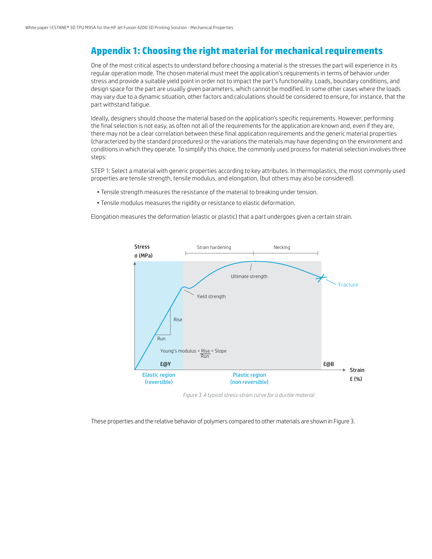# **Appendix 1: Choosing the right material for mechanical requirements**

One of the most critical aspects to understand before choosing a material is the stresses the part will experience in its regular operation mode. The chosen material must meet the application's requirements in terms of behavior under stress and provide a suitable yield point in order not to impact the part's functionality. Loads, boundary conditions, and design space for the part are usually given parameters, which cannot be modified. In some other cases where the loads may vary due to a dynamic situation, other factors and calculations should be considered to ensure, for instance, that the part withstand fatigue.

Ideally, designers should choose the material based on the application's specific requirements. However, performing the final selection is not easy, as often not all of the requirements for the application are known and, even if they are, there may not be a clear correlation between these final application requirements and the generic material properties (characterized by the standard procedures) or the variations the materials may have depending on the environment and conditions in which they operate. To simplify this choice, the commonly used process for material selection involves three steps:

STEP 1: Select a material with generic properties according to key attributes. In thermoplastics, the most commonly used properties are tensile strength, tensile modulus, and elongation, (but others may also be considered).

- Tensile strength measures the resistance of the material to breaking under tension.
- Tensile modulus measures the rigidity or resistance to elastic deformation.

Elongation measures the deformation (elastic or plastic) that a part undergoes given a certain strain.



*Figure 3. A typical stress-strain curve for a ductile material*

These properties and the relative behavior of polymers compared to other materials are shown in Figure 3.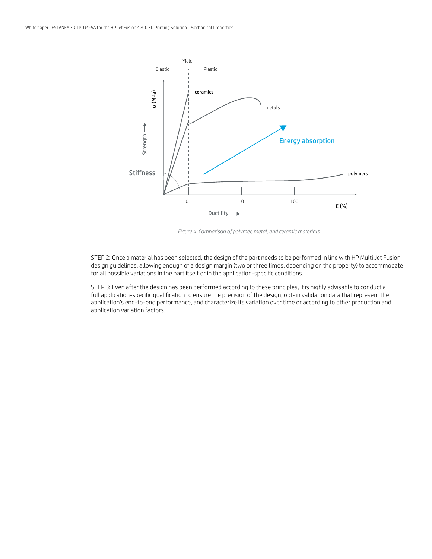

*Figure 4. Comparison of polymer, metal, and ceramic materials*

STEP 2: Once a material has been selected, the design of the part needs to be performed in line with HP Multi Jet Fusion design guidelines, allowing enough of a design margin (two or three times, depending on the property) to accommodate for all possible variations in the part itself or in the application-specific conditions.

STEP 3: Even after the design has been performed according to these principles, it is highly advisable to conduct a full application-specific qualification to ensure the precision of the design, obtain validation data that represent the application's end-to-end performance, and characterize its variation over time or according to other production and application variation factors.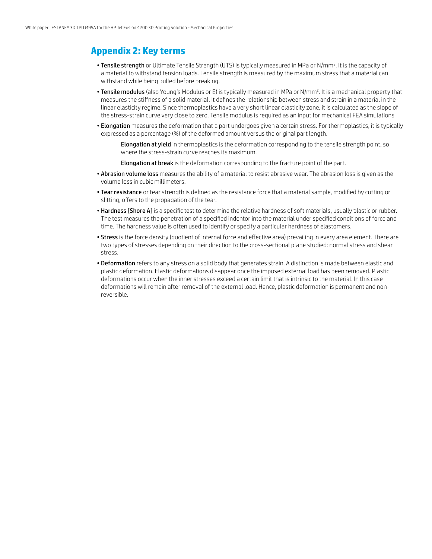## **Appendix 2: Key terms**

- Tensile strength or Ultimate Tensile Strength (UTS) is typically measured in MPa or N/mm<sup>2</sup>. It is the capacity of a material to withstand tension loads. Tensile strength is measured by the maximum stress that a material can withstand while being pulled before breaking.
- Tensile modulus (also Young's Modulus or E) is typically measured in MPa or N/mm<sup>2</sup>. It is a mechanical property that measures the stiffness of a solid material. It defines the relationship between stress and strain in a material in the linear elasticity regime. Since thermoplastics have a very short linear elasticity zone, it is calculated as the slope of the stress-strain curve very close to zero. Tensile modulus is required as an input for mechanical FEA simulations
- Elongation measures the deformation that a part undergoes given a certain stress. For thermoplastics, it is typically expressed as a percentage (%) of the deformed amount versus the original part length.

Elongation at yield in thermoplastics is the deformation corresponding to the tensile strength point, so where the stress-strain curve reaches its maximum.

Elongation at break is the deformation corresponding to the fracture point of the part.

- Abrasion volume loss measures the ability of a material to resist abrasive wear. The abrasion loss is given as the volume loss in cubic millimeters.
- Tear resistance or tear strength is defined as the resistance force that a material sample, modified by cutting or slitting, offers to the propagation of the tear.
- Hardness [Shore A] is a specific test to determine the relative hardness of soft materials, usually plastic or rubber. The test measures the penetration of a specified indentor into the material under specified conditions of force and time. The hardness value is often used to identify or specify a particular hardness of elastomers.
- Stress is the force density (quotient of internal force and effective area) prevailing in every area element. There are two types of stresses depending on their direction to the cross-sectional plane studied: normal stress and shear stress.
- Deformation refers to any stress on a solid body that generates strain. A distinction is made between elastic and plastic deformation. Elastic deformations disappear once the imposed external load has been removed. Plastic deformations occur when the inner stresses exceed a certain limit that is intrinsic to the material. In this case deformations will remain after removal of the external load. Hence, plastic deformation is permanent and nonreversible.